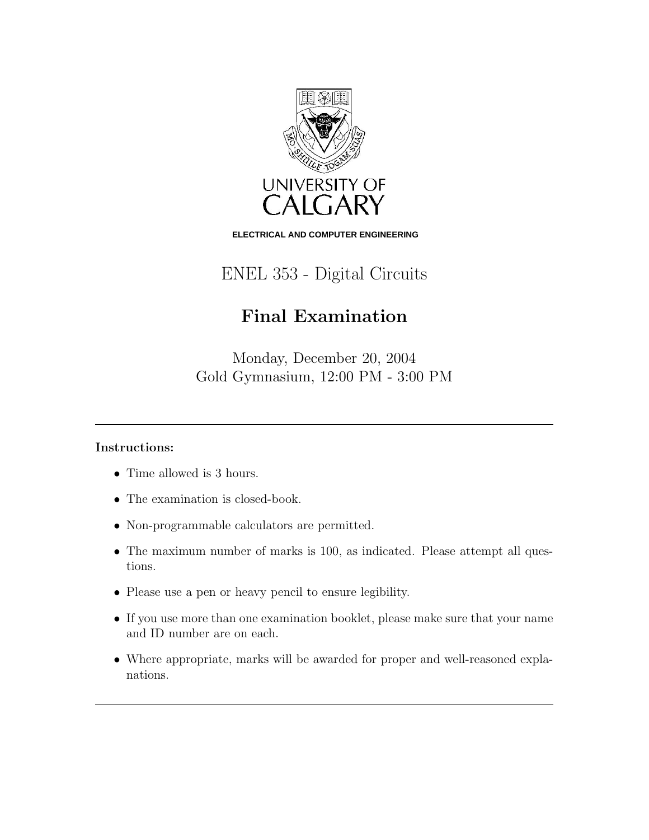

**ELECTRICAL AND COMPUTER ENGINEERING**

ENEL 353 - Digital Circuits

## Final Examination

Monday, December 20, 2004 Gold Gymnasium, 12:00 PM - 3:00 PM

## Instructions:

- Time allowed is 3 hours.
- The examination is closed-book.
- Non-programmable calculators are permitted.
- The maximum number of marks is 100, as indicated. Please attempt all questions.
- Please use a pen or heavy pencil to ensure legibility.
- If you use more than one examination booklet, please make sure that your name and ID number are on each.
- Where appropriate, marks will be awarded for proper and well-reasoned explanations.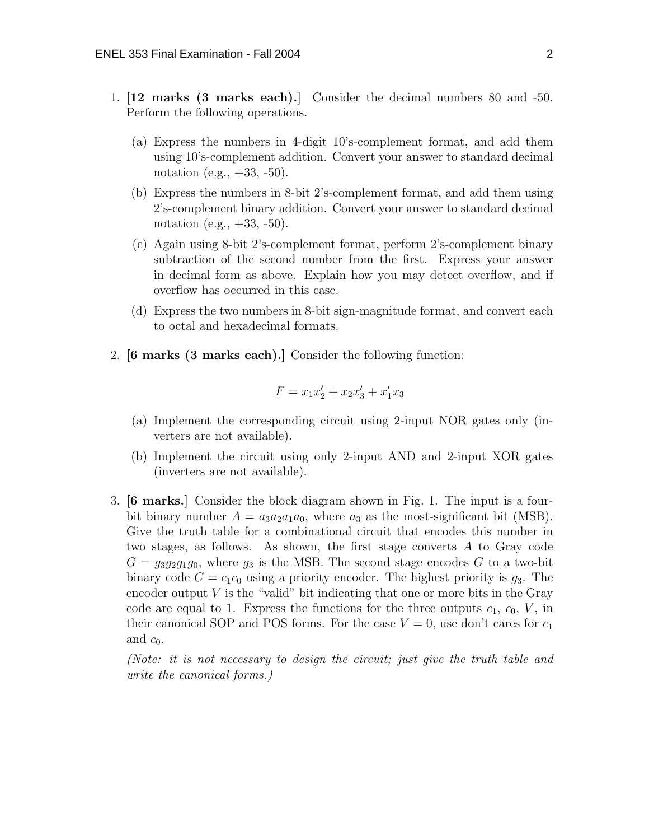- 1. [12 marks (3 marks each).] Consider the decimal numbers 80 and -50. Perform the following operations.
	- (a) Express the numbers in 4-digit 10's-complement format, and add them using 10's-complement addition. Convert your answer to standard decimal notation (e.g.,  $+33, -50$ ).
	- (b) Express the numbers in 8-bit 2's-complement format, and add them using 2's-complement binary addition. Convert your answer to standard decimal notation (e.g.,  $+33, -50$ ).
	- (c) Again using 8-bit 2's-complement format, perform 2's-complement binary subtraction of the second number from the first. Express your answer in decimal form as above. Explain how you may detect overflow, and if overflow has occurred in this case.
	- (d) Express the two numbers in 8-bit sign-magnitude format, and convert each to octal and hexadecimal formats.
- 2. [6 marks (3 marks each).] Consider the following function:

$$
F = x_1 x_2' + x_2 x_3' + x_1' x_3
$$

- (a) Implement the corresponding circuit using 2-input NOR gates only (inverters are not available).
- (b) Implement the circuit using only 2-input AND and 2-input XOR gates (inverters are not available).
- 3. [6 marks.] Consider the block diagram shown in Fig. 1. The input is a fourbit binary number  $A = a_3 a_2 a_1 a_0$ , where  $a_3$  as the most-significant bit (MSB). Give the truth table for a combinational circuit that encodes this number in two stages, as follows. As shown, the first stage converts A to Gray code  $G = g_3g_2g_1g_0$ , where  $g_3$  is the MSB. The second stage encodes G to a two-bit binary code  $C = c_1 c_0$  using a priority encoder. The highest priority is  $g_3$ . The encoder output  $V$  is the "valid" bit indicating that one or more bits in the Gray code are equal to 1. Express the functions for the three outputs  $c_1, c_0, V$ , in their canonical SOP and POS forms. For the case  $V = 0$ , use don't cares for  $c_1$ and  $c_0$ .

(Note: it is not necessary to design the circuit; just give the truth table and write the canonical forms.)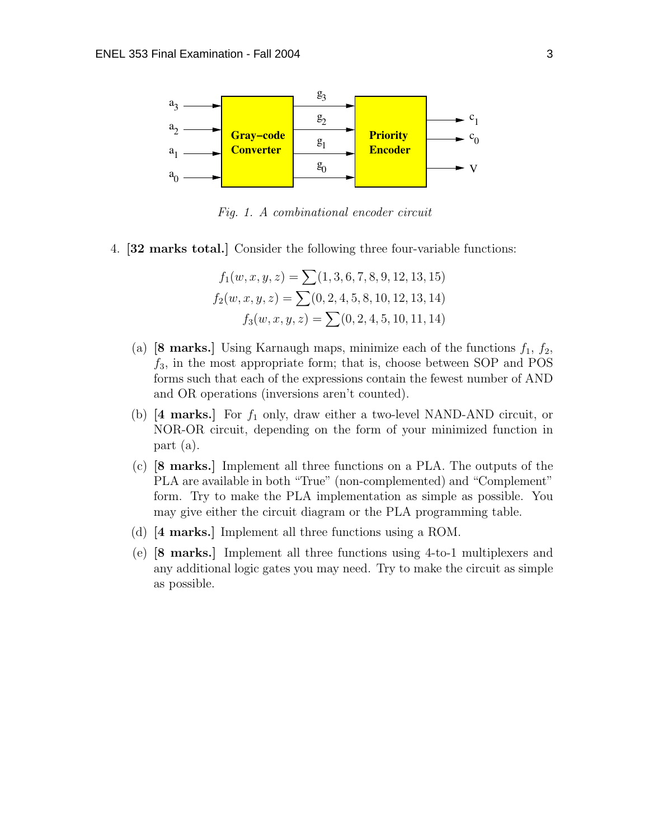

Fig. 1. A combinational encoder circuit

4. [32 marks total.] Consider the following three four-variable functions:

$$
f_1(w, x, y, z) = \sum (1, 3, 6, 7, 8, 9, 12, 13, 15)
$$
  

$$
f_2(w, x, y, z) = \sum (0, 2, 4, 5, 8, 10, 12, 13, 14)
$$
  

$$
f_3(w, x, y, z) = \sum (0, 2, 4, 5, 10, 11, 14)
$$

- (a) [8 marks.] Using Karnaugh maps, minimize each of the functions  $f_1, f_2$ ,  $f_3$ , in the most appropriate form; that is, choose between SOP and POS forms such that each of the expressions contain the fewest number of AND and OR operations (inversions aren't counted).
- (b)  $[4 \text{ marks.}]$  For  $f_1$  only, draw either a two-level NAND-AND circuit, or NOR-OR circuit, depending on the form of your minimized function in part (a).
- (c) [8 marks.] Implement all three functions on a PLA. The outputs of the PLA are available in both "True" (non-complemented) and "Complement" form. Try to make the PLA implementation as simple as possible. You may give either the circuit diagram or the PLA programming table.
- (d) [4 marks.] Implement all three functions using a ROM.
- (e) [8 marks.] Implement all three functions using 4-to-1 multiplexers and any additional logic gates you may need. Try to make the circuit as simple as possible.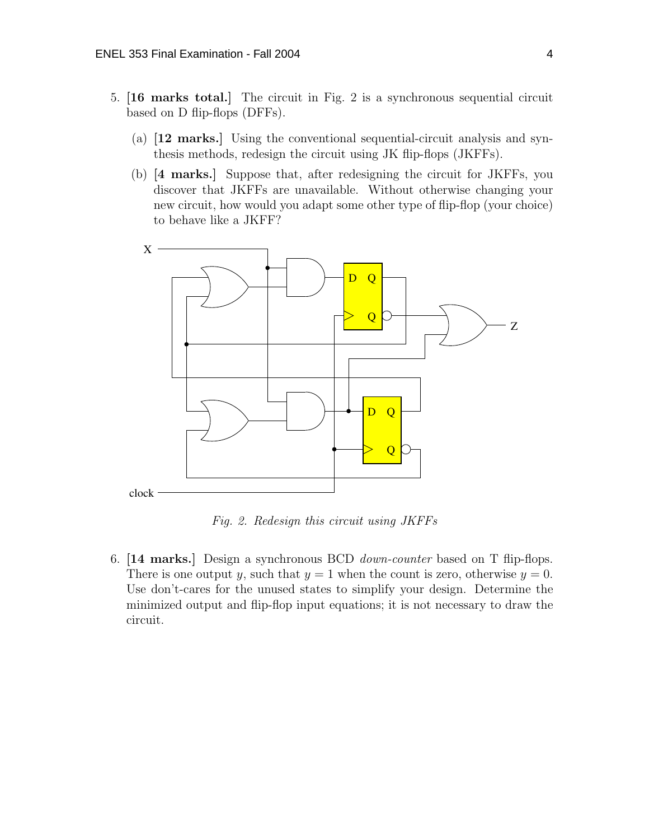- 5. [16 marks total.] The circuit in Fig. 2 is a synchronous sequential circuit based on D flip-flops (DFFs).
	- (a) [12 marks.] Using the conventional sequential-circuit analysis and synthesis methods, redesign the circuit using JK flip-flops (JKFFs).
	- (b) [4 marks.] Suppose that, after redesigning the circuit for JKFFs, you discover that JKFFs are unavailable. Without otherwise changing your new circuit, how would you adapt some other type of flip-flop (your choice) to behave like a JKFF?



Fig. 2. Redesign this circuit using JKFFs

6. [14 marks.] Design a synchronous BCD *down-counter* based on T flip-flops. There is one output y, such that  $y = 1$  when the count is zero, otherwise  $y = 0$ . Use don't-cares for the unused states to simplify your design. Determine the minimized output and flip-flop input equations; it is not necessary to draw the circuit.